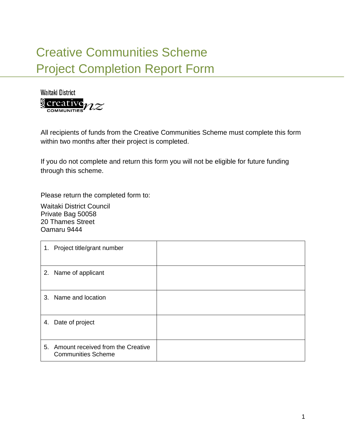## Creative Communities Scheme Project Completion Report Form



All recipients of funds from the Creative Communities Scheme must complete this form within two months after their project is completed.

If you do not complete and return this form you will not be eligible for future funding through this scheme.

Please return the completed form to:

Waitaki District Council Private Bag 50058 20 Thames Street Oamaru 9444

| 1. Project title/grant number                                     |  |
|-------------------------------------------------------------------|--|
| 2. Name of applicant                                              |  |
| 3. Name and location                                              |  |
| 4. Date of project                                                |  |
| 5. Amount received from the Creative<br><b>Communities Scheme</b> |  |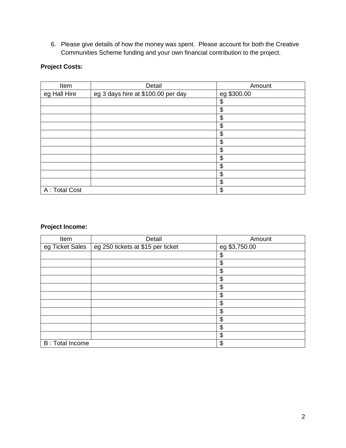6. Please give details of how the money was spent. Please account for both the Creative Communities Scheme funding and your own financial contribution to the project.

## **Project Costs:**

| Item           | Detail                             | Amount      |
|----------------|------------------------------------|-------------|
| eg Hall Hire   | eg 3 days hire at \$100.00 per day | eg \$300.00 |
|                |                                    | \$          |
|                |                                    | \$          |
|                |                                    | \$          |
|                |                                    | \$          |
|                |                                    | \$          |
|                |                                    | \$          |
|                |                                    | \$          |
|                |                                    | \$          |
|                |                                    | \$          |
|                |                                    | \$          |
|                |                                    | \$          |
| A : Total Cost |                                    | \$          |

## **Project Income:**

| Item                    | Detail                            | Amount        |
|-------------------------|-----------------------------------|---------------|
| eg Ticket Sales         | eg 250 tickets at \$15 per ticket | eg \$3,750.00 |
|                         |                                   | \$            |
|                         |                                   | \$            |
|                         |                                   | \$            |
|                         |                                   | \$            |
|                         |                                   | \$            |
|                         |                                   | \$            |
|                         |                                   | \$            |
|                         |                                   | \$            |
|                         |                                   | \$            |
|                         |                                   | \$            |
|                         |                                   | \$            |
| <b>B</b> : Total Income |                                   | \$            |